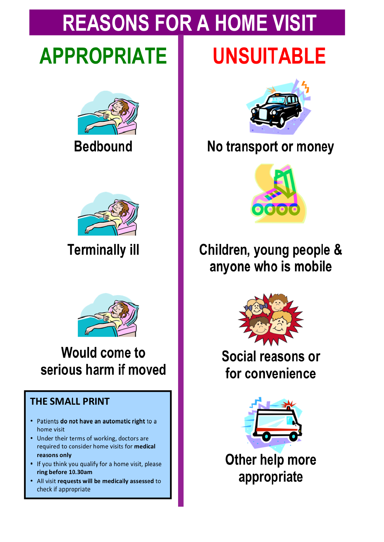# **REASONS FOR A HOME VISIT**

## **APPROPRIATE**









## **Terminally ill**



## **Would come to** serious harm if moved

### **THE SMALL PRINT**

- Patients do not have an automatic right to a home visit
- Under their terms of working, doctors are required to consider home visits for medical reasons only
- If you think you qualify for a home visit, please ring before 10.30am
- All visit requests will be medically assessed to check if appropriate

## **UNSUITABLE**



## No transport or money



### Children, young people & anyone who is mobile



Social reasons or for convenience



Other help more appropriate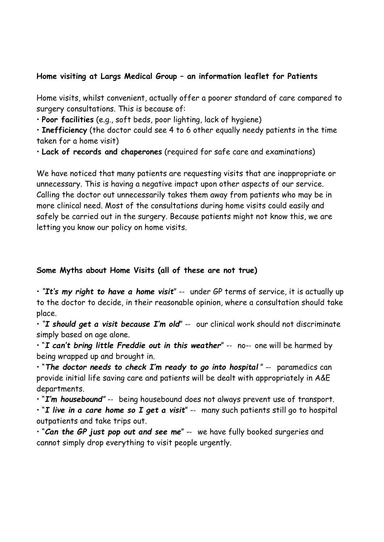#### **Home visiting at Largs Medical Group – an information leaflet for Patients**

Home visits, whilst convenient, actually offer a poorer standard of care compared to surgery consultations. This is because of:

• **Poor facilities** (e.g., soft beds, poor lighting, lack of hygiene)

• **Inefficiency** (the doctor could see 4 to 6 other equally needy patients in the time taken for a home visit)

• **Lack of records and chaperones** (required for safe care and examinations)

We have noticed that many patients are requesting visits that are inappropriate or unnecessary. This is having a negative impact upon other aspects of our service. Calling the doctor out unnecessarily takes them away from patients who may be in more clinical need. Most of the consultations during home visits could easily and safely be carried out in the surgery. Because patients might not know this, we are letting you know our policy on home visits.

#### **Some Myths about Home Visits (all of these are not true)**

• *"It's my right to have a home visit*" -‐ under GP terms of service, it is actually up to the doctor to decide, in their reasonable opinion, where a consultation should take place.

• *"I should get a visit because I'm old*" -‐ our clinical work should not discriminate simply based on age alone.

• "*I can't bring little Freddie out in this weather*" -‐ no-‐ one will be harmed by being wrapped up and brought in.

• "*The doctor needs to check I'm ready to go into hospital* " -‐ paramedics can provide initial life saving care and patients will be dealt with appropriately in A&E departments.

• "*I'm housebound"* -‐ being housebound does not always prevent use of transport.

• "*I live in a care home so I get a visit*" -‐ many such patients still go to hospital outpatients and take trips out.

• "*Can the GP just pop out and see me*" -‐ we have fully booked surgeries and cannot simply drop everything to visit people urgently.